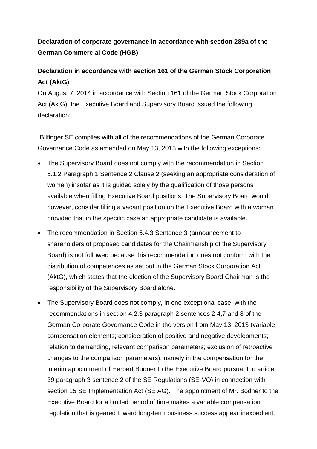# **Declaration of corporate governance in accordance with section 289a of the German Commercial Code (HGB)**

# **Declaration in accordance with section 161 of the German Stock Corporation Act (AktG)**

On August 7, 2014 in accordance with Section 161 of the German Stock Corporation Act (AktG), the Executive Board and Supervisory Board issued the following declaration:

"Bilfinger SE complies with all of the recommendations of the German Corporate Governance Code as amended on May 13, 2013 with the following exceptions:

- The Supervisory Board does not comply with the recommendation in Section 5.1.2 Paragraph 1 Sentence 2 Clause 2 (seeking an appropriate consideration of women) insofar as it is guided solely by the qualification of those persons available when filling Executive Board positions. The Supervisory Board would, however, consider filling a vacant position on the Executive Board with a woman provided that in the specific case an appropriate candidate is available.
- The recommendation in Section 5.4.3 Sentence 3 (announcement to shareholders of proposed candidates for the Chairmanship of the Supervisory Board) is not followed because this recommendation does not conform with the distribution of competences as set out in the German Stock Corporation Act (AktG), which states that the election of the Supervisory Board Chairman is the responsibility of the Supervisory Board alone.
- The Supervisory Board does not comply, in one exceptional case, with the recommendations in section 4.2.3 paragraph 2 sentences 2,4,7 and 8 of the German Corporate Governance Code in the version from May 13, 2013 (variable compensation elements; consideration of positive and negative developments; relation to demanding, relevant comparison parameters; exclusion of retroactive changes to the comparison parameters), namely in the compensation for the interim appointment of Herbert Bodner to the Executive Board pursuant to article 39 paragraph 3 sentence 2 of the SE Regulations (SE-VO) in connection with section 15 SE Implementation Act (SE AG). The appointment of Mr. Bodner to the Executive Board for a limited period of time makes a variable compensation regulation that is geared toward long-term business success appear inexpedient.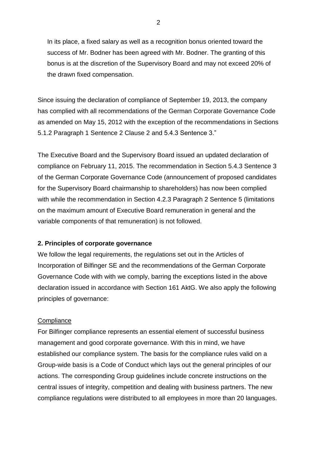In its place, a fixed salary as well as a recognition bonus oriented toward the success of Mr. Bodner has been agreed with Mr. Bodner. The granting of this bonus is at the discretion of the Supervisory Board and may not exceed 20% of the drawn fixed compensation.

Since issuing the declaration of compliance of September 19, 2013, the company has complied with all recommendations of the German Corporate Governance Code as amended on May 15, 2012 with the exception of the recommendations in Sections 5.1.2 Paragraph 1 Sentence 2 Clause 2 and 5.4.3 Sentence 3."

The Executive Board and the Supervisory Board issued an updated declaration of compliance on February 11, 2015. The recommendation in Section 5.4.3 Sentence 3 of the German Corporate Governance Code (announcement of proposed candidates for the Supervisory Board chairmanship to shareholders) has now been complied with while the recommendation in Section 4.2.3 Paragraph 2 Sentence 5 (limitations on the maximum amount of Executive Board remuneration in general and the variable components of that remuneration) is not followed.

## **2. Principles of corporate governance**

We follow the legal requirements, the regulations set out in the Articles of Incorporation of Bilfinger SE and the recommendations of the German Corporate Governance Code with with we comply, barring the exceptions listed in the above declaration issued in accordance with Section 161 AktG. We also apply the following principles of governance:

#### **Compliance**

For Bilfinger compliance represents an essential element of successful business management and good corporate governance. With this in mind, we have established our compliance system. The basis for the compliance rules valid on a Group-wide basis is a Code of Conduct which lays out the general principles of our actions. The corresponding Group guidelines include concrete instructions on the central issues of integrity, competition and dealing with business partners. The new compliance regulations were distributed to all employees in more than 20 languages.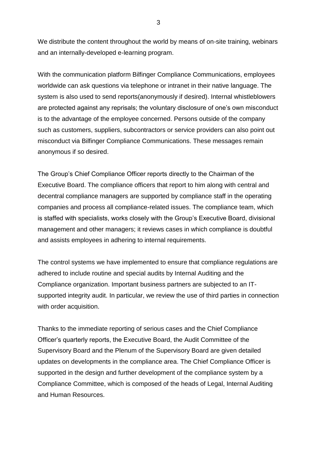We distribute the content throughout the world by means of on-site training, webinars and an internally-developed e-learning program.

With the communication platform Bilfinger Compliance Communications, employees worldwide can ask questions via telephone or intranet in their native language. The system is also used to send reports(anonymously if desired). Internal whistleblowers are protected against any reprisals; the voluntary disclosure of one's own misconduct is to the advantage of the employee concerned. Persons outside of the company such as customers, suppliers, subcontractors or service providers can also point out misconduct via Bilfinger Compliance Communications. These messages remain anonymous if so desired.

The Group's Chief Compliance Officer reports directly to the Chairman of the Executive Board. The compliance officers that report to him along with central and decentral compliance managers are supported by compliance staff in the operating companies and process all compliance-related issues. The compliance team, which is staffed with specialists, works closely with the Group's Executive Board, divisional management and other managers; it reviews cases in which compliance is doubtful and assists employees in adhering to internal requirements.

The control systems we have implemented to ensure that compliance regulations are adhered to include routine and special audits by Internal Auditing and the Compliance organization. Important business partners are subjected to an ITsupported integrity audit. In particular, we review the use of third parties in connection with order acquisition.

Thanks to the immediate reporting of serious cases and the Chief Compliance Officer's quarterly reports, the Executive Board, the Audit Committee of the Supervisory Board and the Plenum of the Supervisory Board are given detailed updates on developments in the compliance area. The Chief Compliance Officer is supported in the design and further development of the compliance system by a Compliance Committee, which is composed of the heads of Legal, Internal Auditing and Human Resources.

3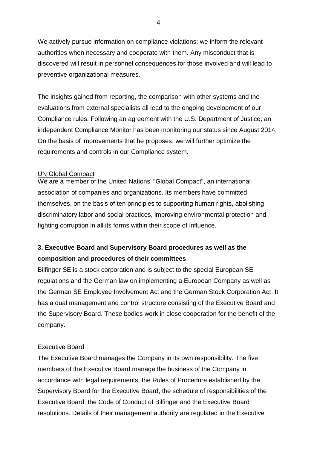We actively pursue information on compliance violations; we inform the relevant authorities when necessary and cooperate with them. Any misconduct that is discovered will result in personnel consequences for those involved and will lead to preventive organizational measures.

The insights gained from reporting, the comparison with other systems and the evaluations from external specialists all lead to the ongoing development of our Compliance rules. Following an agreement with the U.S. Department of Justice, an independent Compliance Monitor has been monitoring our status since August 2014. On the basis of improvements that he proposes, we will further optimize the requirements and controls in our Compliance system.

## UN Global Compact

We are a member of the United Nations' "Global Compact", an international association of companies and organizations. Its members have committed themselves, on the basis of ten principles to supporting human rights, abolishing discriminatory labor and social practices, improving environmental protection and fighting corruption in all its forms within their scope of influence.

## **3. Executive Board and Supervisory Board procedures as well as the composition and procedures of their committees**

Bilfinger SE is a stock corporation and is subject to the special European SE regulations and the German law on implementing a European Company as well as the German SE Employee Involvement Act and the German Stock Corporation Act. It has a dual management and control structure consisting of the Executive Board and the Supervisory Board. These bodies work in close cooperation for the benefit of the company.

#### Executive Board

The Executive Board manages the Company in its own responsibility. The five members of the Executive Board manage the business of the Company in accordance with legal requirements, the Rules of Procedure established by the Supervisory Board for the Executive Board, the schedule of responsibilities of the Executive Board, the Code of Conduct of Bilfinger and the Executive Board resolutions. Details of their management authority are regulated in the Executive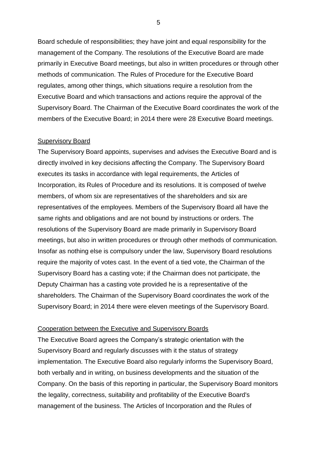Board schedule of responsibilities; they have joint and equal responsibility for the management of the Company. The resolutions of the Executive Board are made primarily in Executive Board meetings, but also in written procedures or through other methods of communication. The Rules of Procedure for the Executive Board regulates, among other things, which situations require a resolution from the Executive Board and which transactions and actions require the approval of the Supervisory Board. The Chairman of the Executive Board coordinates the work of the members of the Executive Board; in 2014 there were 28 Executive Board meetings.

#### Supervisory Board

The Supervisory Board appoints, supervises and advises the Executive Board and is directly involved in key decisions affecting the Company. The Supervisory Board executes its tasks in accordance with legal requirements, the Articles of Incorporation, its Rules of Procedure and its resolutions. It is composed of twelve members, of whom six are representatives of the shareholders and six are representatives of the employees. Members of the Supervisory Board all have the same rights and obligations and are not bound by instructions or orders. The resolutions of the Supervisory Board are made primarily in Supervisory Board meetings, but also in written procedures or through other methods of communication. Insofar as nothing else is compulsory under the law, Supervisory Board resolutions require the majority of votes cast. In the event of a tied vote, the Chairman of the Supervisory Board has a casting vote; if the Chairman does not participate, the Deputy Chairman has a casting vote provided he is a representative of the shareholders. The Chairman of the Supervisory Board coordinates the work of the Supervisory Board; in 2014 there were eleven meetings of the Supervisory Board.

#### Cooperation between the Executive and Supervisory Boards

The Executive Board agrees the Company's strategic orientation with the Supervisory Board and regularly discusses with it the status of strategy implementation. The Executive Board also regularly informs the Supervisory Board, both verbally and in writing, on business developments and the situation of the Company. On the basis of this reporting in particular, the Supervisory Board monitors the legality, correctness, suitability and profitability of the Executive Board's management of the business. The Articles of Incorporation and the Rules of

5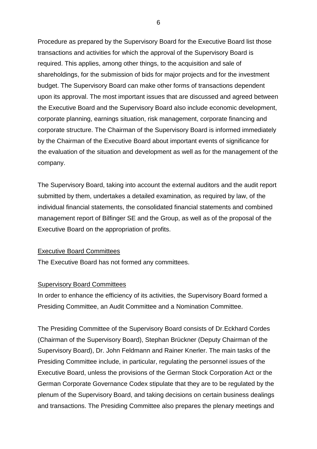Procedure as prepared by the Supervisory Board for the Executive Board list those transactions and activities for which the approval of the Supervisory Board is required. This applies, among other things, to the acquisition and sale of shareholdings, for the submission of bids for major projects and for the investment budget. The Supervisory Board can make other forms of transactions dependent upon its approval. The most important issues that are discussed and agreed between the Executive Board and the Supervisory Board also include economic development, corporate planning, earnings situation, risk management, corporate financing and corporate structure. The Chairman of the Supervisory Board is informed immediately by the Chairman of the Executive Board about important events of significance for the evaluation of the situation and development as well as for the management of the company.

The Supervisory Board, taking into account the external auditors and the audit report submitted by them, undertakes a detailed examination, as required by law, of the individual financial statements, the consolidated financial statements and combined management report of Bilfinger SE and the Group, as well as of the proposal of the Executive Board on the appropriation of profits.

## Executive Board Committees

The Executive Board has not formed any committees.

#### Supervisory Board Committees

In order to enhance the efficiency of its activities, the Supervisory Board formed a Presiding Committee, an Audit Committee and a Nomination Committee.

The Presiding Committee of the Supervisory Board consists of Dr.Eckhard Cordes (Chairman of the Supervisory Board), Stephan Brückner (Deputy Chairman of the Supervisory Board), Dr. John Feldmann and Rainer Knerler. The main tasks of the Presiding Committee include, in particular, regulating the personnel issues of the Executive Board, unless the provisions of the German Stock Corporation Act or the German Corporate Governance Codex stipulate that they are to be regulated by the plenum of the Supervisory Board, and taking decisions on certain business dealings and transactions. The Presiding Committee also prepares the plenary meetings and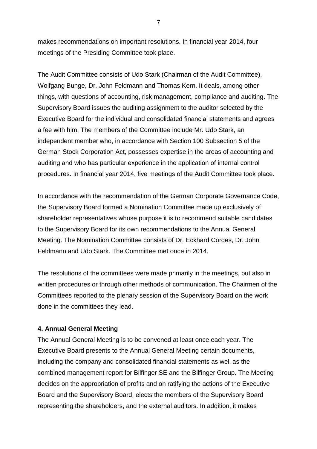makes recommendations on important resolutions. In financial year 2014, four meetings of the Presiding Committee took place.

The Audit Committee consists of Udo Stark (Chairman of the Audit Committee), Wolfgang Bunge, Dr. John Feldmann and Thomas Kern. It deals, among other things, with questions of accounting, risk management, compliance and auditing. The Supervisory Board issues the auditing assignment to the auditor selected by the Executive Board for the individual and consolidated financial statements and agrees a fee with him. The members of the Committee include Mr. Udo Stark, an independent member who, in accordance with Section 100 Subsection 5 of the German Stock Corporation Act, possesses expertise in the areas of accounting and auditing and who has particular experience in the application of internal control procedures. In financial year 2014, five meetings of the Audit Committee took place.

In accordance with the recommendation of the German Corporate Governance Code, the Supervisory Board formed a Nomination Committee made up exclusively of shareholder representatives whose purpose it is to recommend suitable candidates to the Supervisory Board for its own recommendations to the Annual General Meeting. The Nomination Committee consists of Dr. Eckhard Cordes, Dr. John Feldmann and Udo Stark. The Committee met once in 2014.

The resolutions of the committees were made primarily in the meetings, but also in written procedures or through other methods of communication. The Chairmen of the Committees reported to the plenary session of the Supervisory Board on the work done in the committees they lead.

## **4. Annual General Meeting**

The Annual General Meeting is to be convened at least once each year. The Executive Board presents to the Annual General Meeting certain documents, including the company and consolidated financial statements as well as the combined management report for Bilfinger SE and the Bilfinger Group. The Meeting decides on the appropriation of profits and on ratifying the actions of the Executive Board and the Supervisory Board, elects the members of the Supervisory Board representing the shareholders, and the external auditors. In addition, it makes